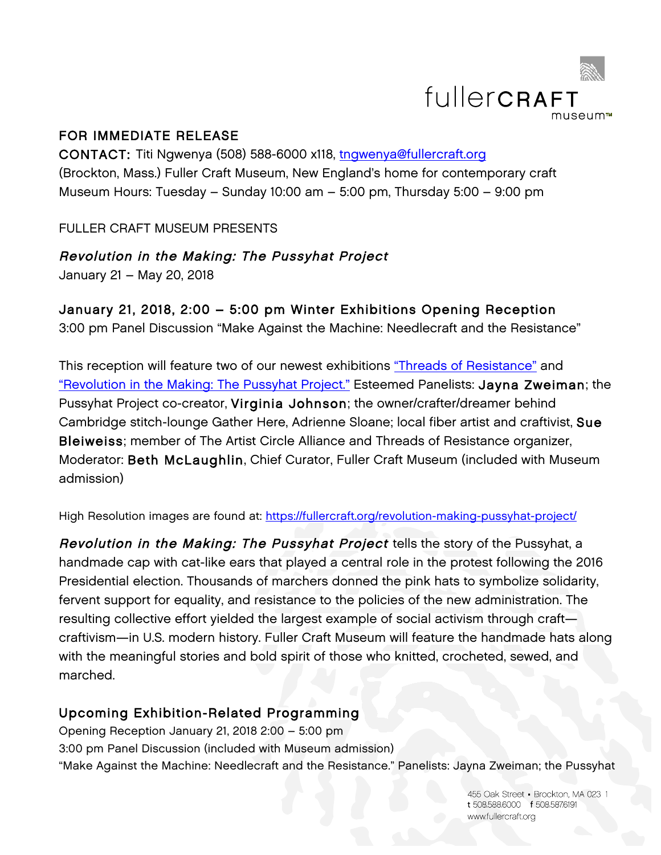

## FOR IMMEDIATE RELEASE

CONTACT: Titi Ngwenya (508) 588-6000 x118, tngwenya@fullercraft.org (Brockton, Mass.) Fuller Craft Museum, New England's home for contemporary craft Museum Hours: Tuesday – Sunday 10:00 am – 5:00 pm, Thursday 5:00 – 9:00 pm

FULLER CRAFT MUSEUM PRESENTS

Revolution in the Making: The Pussyhat Project January 21 – May 20, 2018

# January 21, 2018, 2:00 – 5:00 pm Winter Exhibitions Opening Reception

3:00 pm Panel Discussion "Make Against the Machine: Needlecraft and the Resistance"

This reception will feature two of our newest exhibitions "Threads of Resistance" and "Revolution in the Making: The Pussyhat Project." Esteemed Panelists: Jayna Zweiman; the Pussyhat Project co-creator, Virginia Johnson; the owner/crafter/dreamer behind Cambridge stitch-lounge Gather Here, Adrienne Sloane; local fiber artist and craftivist, Sue Bleiweiss; member of The Artist Circle Alliance and Threads of Resistance organizer, Moderator: Beth McLaughlin, Chief Curator, Fuller Craft Museum (included with Museum admission)

High Resolution images are found at: https://fullercraft.org/revolution-making-pussyhat-project/

Revolution in the Making: The Pussyhat Project tells the story of the Pussyhat, a handmade cap with cat-like ears that played a central role in the protest following the 2016 Presidential election. Thousands of marchers donned the pink hats to symbolize solidarity, fervent support for equality, and resistance to the policies of the new administration. The resulting collective effort yielded the largest example of social activism through craft craftivism—in U.S. modern history. Fuller Craft Museum will feature the handmade hats along with the meaningful stories and bold spirit of those who knitted, crocheted, sewed, and marched.

# Upcoming Exhibition-Related Programming

Opening Reception January 21, 2018 2:00 – 5:00 pm 3:00 pm Panel Discussion (included with Museum admission) "Make Against the Machine: Needlecraft and the Resistance." Panelists: Jayna Zweiman; the Pussyhat

> 455 Oak Street Brockton, MA 023 1 t 508.588.6000 f 508.5876191 www.fullercraft.org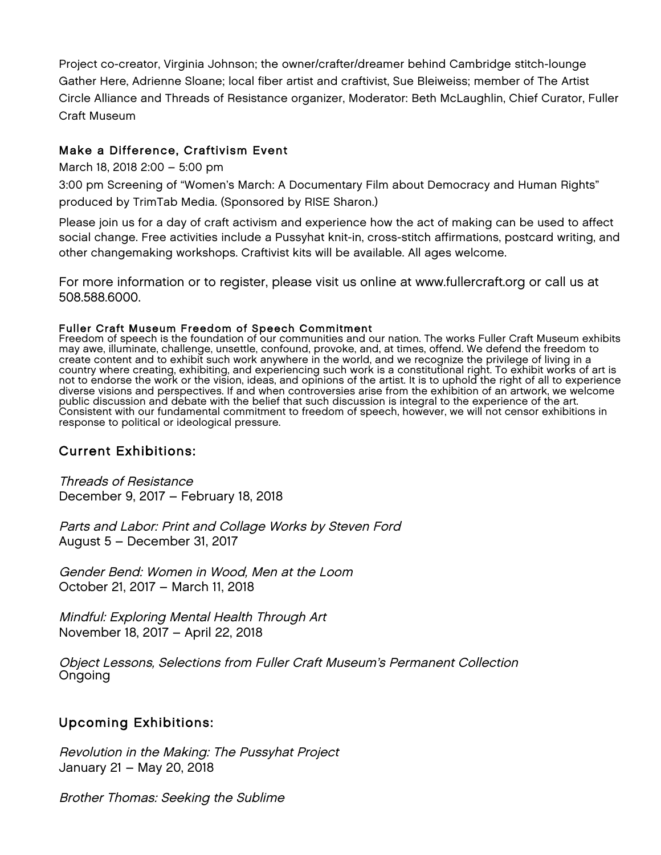Project co-creator, Virginia Johnson; the owner/crafter/dreamer behind Cambridge stitch-lounge Gather Here, Adrienne Sloane; local fiber artist and craftivist, Sue Bleiweiss; member of The Artist Circle Alliance and Threads of Resistance organizer, Moderator: Beth McLaughlin, Chief Curator, Fuller Craft Museum

### Make a Difference, Craftivism Event

#### March 18, 2018 2:00 – 5:00 pm

3:00 pm Screening of "Women's March: A Documentary Film about Democracy and Human Rights" produced by TrimTab Media. (Sponsored by RISE Sharon.)

Please join us for a day of craft activism and experience how the act of making can be used to affect social change. Free activities include a Pussyhat knit-in, cross-stitch affirmations, postcard writing, and other changemaking workshops. Craftivist kits will be available. All ages welcome.

For more information or to register, please visit us online at www.fullercraft.org or call us at 508.588.6000.

Fuller Craft Museum Freedom of Speech Commitment<br>Freedom of speech is the foundation of our communities and our nation. The works Fuller Craft Museum exhibits may awe, illuminate, challenge, unsettle, confound, provoke, and, at times, offend. We defend the freedom to create content and to exhibit such work anywhere in the world, and we recognize the privilege of living in a<br>country where creating, exhibiting, and experiencing such work is a constitutional right. To exhibit works of art not to endorse the work or the vision, ideas, and opinions of the artist. It is to uphold the right of all to experience diverse visions and perspectives. If and when controversies arise from the exhibition of an artwork, we welcome public discussion and debate with the belief that such discussion is integral to the experience of the art. Consistent with our fundamental commitment to freedom of speech, however, we will not censor exhibitions in response to political or ideological pressure.

## Current Exhibitions:

Threads of Resistance December 9, 2017 – February 18, 2018

Parts and Labor: Print and Collage Works by Steven Ford August 5 – December 31, 2017

Gender Bend: Women in Wood, Men at the Loom October 21, 2017 – March 11, 2018

Mindful: Exploring Mental Health Through Art November 18, 2017 – April 22, 2018

Object Lessons, Selections from Fuller Craft Museum's Permanent Collection Ongoing

## Upcoming Exhibitions:

Revolution in the Making: The Pussyhat Project January 21 – May 20, 2018

Brother Thomas: Seeking the Sublime